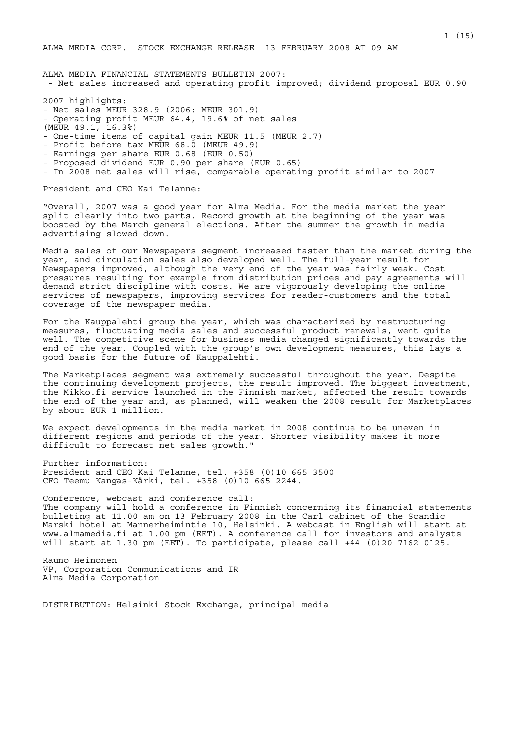ALMA MEDIA CORP. STOCK EXCHANGE RELEASE 13 FEBRUARY 2008 AT 09 AM

ALMA MEDIA FINANCIAL STATEMENTS BULLETIN 2007: - Net sales increased and operating profit improved; dividend proposal EUR 0.90

2007 highlights:

- Net sales MEUR 328.9 (2006: MEUR 301.9)
- Operating profit MEUR 64.4, 19.6% of net sales
- (MEUR 49.1, 16.3%)
- One-time items of capital gain MEUR 11.5 (MEUR 2.7)
- Profit before tax MEUR 68.0 (MEUR 49.9)
- Earnings per share EUR 0.68 (EUR 0.50)
- Proposed dividend EUR 0.90 per share (EUR 0.65)
- In 2008 net sales will rise, comparable operating profit similar to 2007

President and CEO Kai Telanne:

"Overall, 2007 was a good year for Alma Media. For the media market the year split clearly into two parts. Record growth at the beginning of the year was boosted by the March general elections. After the summer the growth in media advertising slowed down.

Media sales of our Newspapers segment increased faster than the market during the year, and circulation sales also developed well. The full-year result for Newspapers improved, although the very end of the year was fairly weak. Cost pressures resulting for example from distribution prices and pay agreements will demand strict discipline with costs. We are vigorously developing the online services of newspapers, improving services for reader-customers and the total coverage of the newspaper media.

For the Kauppalehti group the year, which was characterized by restructuring measures, fluctuating media sales and successful product renewals, went quite well. The competitive scene for business media changed significantly towards the end of the year. Coupled with the group's own development measures, this lays a good basis for the future of Kauppalehti.

The Marketplaces segment was extremely successful throughout the year. Despite the continuing development projects, the result improved. The biggest investment, the Mikko.fi service launched in the Finnish market, affected the result towards the end of the year and, as planned, will weaken the 2008 result for Marketplaces by about EUR 1 million.

We expect developments in the media market in 2008 continue to be uneven in different regions and periods of the year. Shorter visibility makes it more difficult to forecast net sales growth."

Further information: President and CEO Kai Telanne, tel. +358 (0)10 665 3500 CFO Teemu Kangas-Kärki, tel. +358 (0)10 665 2244.

Conference, webcast and conference call: The company will hold a conference in Finnish concerning its financial statements bulleting at 11.00 am on 13 February 2008 in the Carl cabinet of the Scandic Marski hotel at Mannerheimintie 10, Helsinki. A webcast in English will start at www.almamedia.fi at 1.00 pm (EET). A conference call for investors and analysts will start at 1.30 pm (EET). To participate, please call +44 (0)20 7162 0125.

Rauno Heinonen VP, Corporation Communications and IR Alma Media Corporation

DISTRIBUTION: Helsinki Stock Exchange, principal media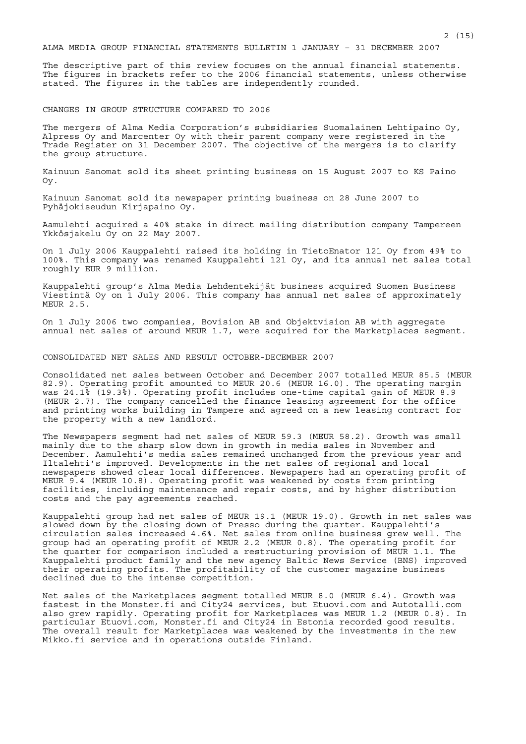ALMA MEDIA GROUP FINANCIAL STATEMENTS BULLETIN 1 JANUARY – 31 DECEMBER 2007

The descriptive part of this review focuses on the annual financial statements. The figures in brackets refer to the 2006 financial statements, unless otherwise stated. The figures in the tables are independently rounded.

CHANGES IN GROUP STRUCTURE COMPARED TO 2006

The mergers of Alma Media Corporation's subsidiaries Suomalainen Lehtipaino Oy, Alpress Oy and Marcenter Oy with their parent company were registered in the Trade Register on 31 December 2007. The objective of the mergers is to clarify the group structure.

Kainuun Sanomat sold its sheet printing business on 15 August 2007 to KS Paino Oy.

Kainuun Sanomat sold its newspaper printing business on 28 June 2007 to Pyhäjokiseudun Kirjapaino Oy.

Aamulehti acquired a 40% stake in direct mailing distribution company Tampereen Ykkösjakelu Oy on 22 May 2007.

On 1 July 2006 Kauppalehti raised its holding in TietoEnator 121 Oy from 49% to 100%. This company was renamed Kauppalehti 121 Oy, and its annual net sales total roughly EUR 9 million.

Kauppalehti group's Alma Media Lehdentekijät business acquired Suomen Business Viestintä Oy on 1 July 2006. This company has annual net sales of approximately MEUR 2.5.

On 1 July 2006 two companies, Bovision AB and Objektvision AB with aggregate annual net sales of around MEUR 1.7, were acquired for the Marketplaces segment.

CONSOLIDATED NET SALES AND RESULT OCTOBER-DECEMBER 2007

Consolidated net sales between October and December 2007 totalled MEUR 85.5 (MEUR 82.9). Operating profit amounted to MEUR 20.6 (MEUR 16.0). The operating margin was 24.1% (19.3%). Operating profit includes one-time capital gain of MEUR 8.9 (MEUR 2.7). The company cancelled the finance leasing agreement for the office and printing works building in Tampere and agreed on a new leasing contract for the property with a new landlord.

The Newspapers segment had net sales of MEUR 59.3 (MEUR 58.2). Growth was small mainly due to the sharp slow down in growth in media sales in November and December. Aamulehti's media sales remained unchanged from the previous year and Iltalehti's improved. Developments in the net sales of regional and local newspapers showed clear local differences. Newspapers had an operating profit of MEUR 9.4 (MEUR 10.8). Operating profit was weakened by costs from printing facilities, including maintenance and repair costs, and by higher distribution costs and the pay agreements reached.

Kauppalehti group had net sales of MEUR 19.1 (MEUR 19.0). Growth in net sales was slowed down by the closing down of Presso during the quarter. Kauppalehti's circulation sales increased 4.6%. Net sales from online business grew well. The group had an operating profit of MEUR 2.2 (MEUR 0.8). The operating profit for the quarter for comparison included a restructuring provision of MEUR 1.1. The Kauppalehti product family and the new agency Baltic News Service (BNS) improved their operating profits. The profitability of the customer magazine business declined due to the intense competition.

Net sales of the Marketplaces segment totalled MEUR 8.0 (MEUR 6.4). Growth was fastest in the Monster.fi and City24 services, but Etuovi.com and Autotalli.com also grew rapidly. Operating profit for Marketplaces was MEUR 1.2 (MEUR 0.8). In particular Etuovi.com, Monster.fi and City24 in Estonia recorded good results. The overall result for Marketplaces was weakened by the investments in the new Mikko.fi service and in operations outside Finland.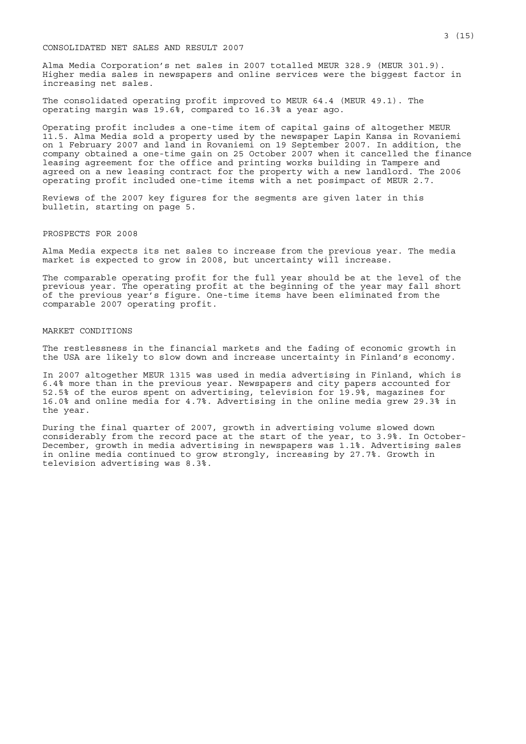### CONSOLIDATED NET SALES AND RESULT 2007

Alma Media Corporation's net sales in 2007 totalled MEUR 328.9 (MEUR 301.9). Higher media sales in newspapers and online services were the biggest factor in increasing net sales.

The consolidated operating profit improved to MEUR 64.4 (MEUR 49.1). The operating margin was 19.6%, compared to 16.3% a year ago.

Operating profit includes a one-time item of capital gains of altogether MEUR 11.5. Alma Media sold a property used by the newspaper Lapin Kansa in Rovaniemi on 1 February 2007 and land in Rovaniemi on 19 September 2007. In addition, the company obtained a one-time gain on 25 October 2007 when it cancelled the finance leasing agreement for the office and printing works building in Tampere and agreed on a new leasing contract for the property with a new landlord. The 2006 operating profit included one-time items with a net posimpact of MEUR 2.7.

Reviews of the 2007 key figures for the segments are given later in this bulletin, starting on page 5.

#### PROSPECTS FOR 2008

Alma Media expects its net sales to increase from the previous year. The media market is expected to grow in 2008, but uncertainty will increase.

The comparable operating profit for the full year should be at the level of the previous year. The operating profit at the beginning of the year may fall short of the previous year's figure. One-time items have been eliminated from the comparable 2007 operating profit.

#### MARKET CONDITIONS

The restlessness in the financial markets and the fading of economic growth in the USA are likely to slow down and increase uncertainty in Finland's economy.

In 2007 altogether MEUR 1315 was used in media advertising in Finland, which is 6.4% more than in the previous year. Newspapers and city papers accounted for 52.5% of the euros spent on advertising, television for 19.9%, magazines for 16.0% and online media for 4.7%. Advertising in the online media grew 29.3% in the year.

During the final quarter of 2007, growth in advertising volume slowed down considerably from the record pace at the start of the year, to 3.9%. In October-December, growth in media advertising in newspapers was 1.1%. Advertising sales in online media continued to grow strongly, increasing by 27.7%. Growth in television advertising was 8.3%.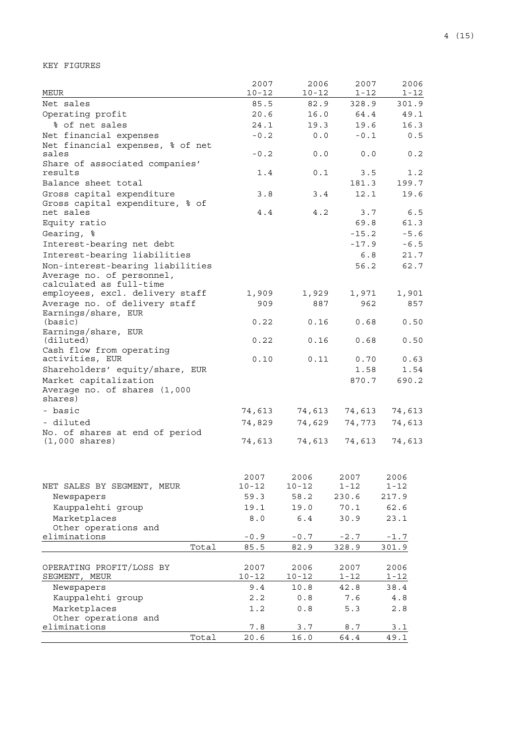KEY FIGURES

| <b>MEUR</b>                                                   | 2007              | 2006           | 2007              | 2006          |
|---------------------------------------------------------------|-------------------|----------------|-------------------|---------------|
| Net sales                                                     | $10 - 12$<br>85.5 | $10 - 12$      | $1 - 12$<br>328.9 | $1 - 12$      |
| Operating profit                                              | 20.6              | 82.9<br>16.0   | 64.4              | 301.9<br>49.1 |
| % of net sales                                                | 24.1              | 19.3           | 19.6              | 16.3          |
| Net financial expenses                                        | $-0.2$            | 0.0            | $-0.1$            | 0.5           |
| Net financial expenses, % of net                              |                   |                |                   |               |
| sales                                                         | $-0.2$            | 0.0            | 0.0               | 0.2           |
| Share of associated companies'                                |                   |                |                   |               |
| results                                                       | 1.4               | 0.1            | 3.5               | 1.2           |
| Balance sheet total                                           |                   |                | 181.3             | 199.7         |
| Gross capital expenditure                                     | 3.8               | 3.4            | 12.1              | 19.6          |
| Gross capital expenditure, % of                               |                   |                |                   |               |
| net sales                                                     | 4.4               | 4.2            | 3.7               | 6.5           |
| Equity ratio                                                  |                   |                | 69.8              | 61.3          |
| Gearing, %                                                    |                   |                | $-15.2$           | $-5.6$        |
| Interest-bearing net debt                                     |                   |                | $-17.9$           | $-6.5$        |
| Interest-bearing liabilities                                  |                   |                | 6.8               | 21.7          |
| Non-interest-bearing liabilities<br>Average no. of personnel, |                   |                | 56.2              | 62.7          |
| calculated as full-time                                       |                   |                |                   |               |
| employees, excl. delivery staff                               | 1,909             | 1,929          | 1,971             | 1,901         |
| Average no. of delivery staff                                 | 909               | 887            | 962               | 857           |
| Earnings/share, EUR                                           |                   |                |                   |               |
| (basic)                                                       | 0.22              | 0.16           | 0.68              | 0.50          |
| Earnings/share, EUR                                           |                   |                |                   |               |
| (diluted)<br>Cash flow from operating                         | 0.22              | 0.16           | 0.68              | 0.50          |
| activities, EUR                                               | 0.10              | 0.11           | 0.70              | 0.63          |
| Shareholders' equity/share, EUR                               |                   |                | 1.58              | 1.54          |
| Market capitalization                                         |                   |                | 870.7             | 690.2         |
| Average no. of shares (1,000                                  |                   |                |                   |               |
| shares)                                                       |                   |                |                   |               |
| - basic                                                       | 74,613            | 74,613         | 74,613            | 74,613        |
| - diluted                                                     | 74,829            | 74,629         | 74,773            | 74,613        |
| No. of shares at end of period                                |                   |                |                   |               |
| $(1,000 \text{ shares})$                                      | 74,613            | 74,613         | 74,613            | 74,613        |
|                                                               |                   |                |                   |               |
|                                                               | 2007              | 2006           | 2007              | 2006          |
| NET SALES BY SEGMENT, MEUR                                    | $10 - 12$         | $10 - 12$      | $1 - 12$          | $1 - 12$      |
| Newspapers                                                    | 59.3              | 58.2           | 230.6             | 217.9         |
| Kauppalehti group                                             | 19.1              | 19.0           | 70.1              | 62.6          |
| Marketplaces                                                  | $8.0$             | 6.4            | 30.9              | 23.1          |
| Other operations and                                          |                   |                |                   |               |
| eliminations                                                  | $-0.9$            | $\sim 0$ . $7$ | $-2.7$            | $-1.7$        |
| Total                                                         | 85.5              | 82.9           | 328.9             | 301.9         |
|                                                               |                   |                |                   |               |
| OPERATING PROFIT/LOSS BY                                      | 2007              | 2006           | 2007              | 2006          |
| SEGMENT, MEUR                                                 | $10 - 12$         | $10 - 12$      | $1 - 12$          | 1-12          |
| Newspapers                                                    | 9.4               | 10.8           | 42.8              | 38.4          |
| Kauppalehti group                                             | 2.2               | 0.8            | 7.6               | $4.8$         |
| Marketplaces                                                  | 1.2               | 0.8            | 5.3               | 2.8           |
| Other operations and<br>eliminations                          | $7.8\,$           | 3.7            | 8.7               | 3.1           |
| Total                                                         | 20.6              | 16.0           | 64.4              | 49.1          |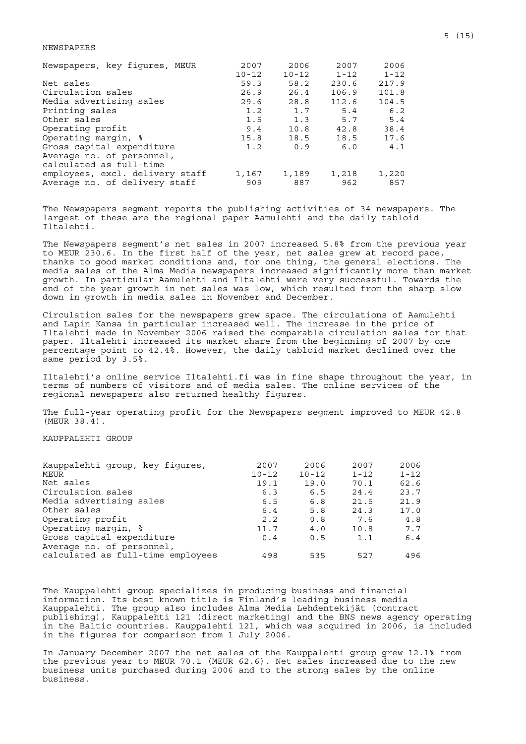#### NEWSPAPERS

| Newspapers, key figures, MEUR   | 2007      | 2006      | 2007     | 2006     |
|---------------------------------|-----------|-----------|----------|----------|
|                                 | $10 - 12$ | $10 - 12$ | $1 - 12$ | $1 - 12$ |
| Net sales                       | 59.3      | 58.2      | 230.6    | 217.9    |
| Circulation sales               | 26.9      | 26.4      | 106.9    | 101.8    |
| Media advertising sales         | 29.6      | 28.8      | 112.6    | 104.5    |
| Printing sales                  | 1.2       | 1.7       | 5.4      | 6.2      |
| Other sales                     | 1.5       | 1.3       | 5.7      | 5.4      |
| Operating profit                | 9.4       | 10.8      | 42.8     | 38.4     |
| Operating margin, %             | 15.8      | 18.5      | 18.5     | 17.6     |
| Gross capital expenditure       | 1.2       | 0.9       | 6.0      | 4.1      |
| Average no. of personnel,       |           |           |          |          |
| calculated as full-time         |           |           |          |          |
| employees, excl. delivery staff | 1,167     | 1,189     | 1,218    | 1,220    |
| Average no. of delivery staff   | 909       | 887       | 962      | 857      |

The Newspapers segment reports the publishing activities of 34 newspapers. The largest of these are the regional paper Aamulehti and the daily tabloid Iltalehti.

The Newspapers segment's net sales in 2007 increased 5.8% from the previous year to MEUR 230.6. In the first half of the year, net sales grew at record pace, thanks to good market conditions and, for one thing, the general elections. The media sales of the Alma Media newspapers increased significantly more than market growth. In particular Aamulehti and Iltalehti were very successful. Towards the end of the year growth in net sales was low, which resulted from the sharp slow down in growth in media sales in November and December.

Circulation sales for the newspapers grew apace. The circulations of Aamulehti and Lapin Kansa in particular increased well. The increase in the price of Iltalehti made in November 2006 raised the comparable circulation sales for that paper. Iltalehti increased its market share from the beginning of 2007 by one percentage point to 42.4%. However, the daily tabloid market declined over the same period by 3.5%.

Iltalehti's online service Iltalehti.fi was in fine shape throughout the year, in terms of numbers of visitors and of media sales. The online services of the regional newspapers also returned healthy figures.

The full-year operating profit for the Newspapers segment improved to MEUR 42.8 (MEUR 38.4).

KAUPPALEHTI GROUP

| 2007      | 2006      | 2007     | 2006     |
|-----------|-----------|----------|----------|
| $10 - 12$ | $10 - 12$ | $1 - 12$ | $1 - 12$ |
| 19.1      | 19.0      | 70.1     | 62.6     |
| 6.3       | 6.5       | 24.4     | 23.7     |
| 6.5       | 6.8       | 21.5     | 21.9     |
| 6.4       | 5.8       | 24.3     | 17.0     |
| 2.2       | 0.8       | 7.6      | 4.8      |
| 11.7      | 4.0       | 10.8     | 7.7      |
| 0.4       | 0.5       | 1.1      | 6.4      |
|           |           |          |          |
| 498       | 535       | 527      | 496      |
|           |           |          |          |

The Kauppalehti group specializes in producing business and financial information. Its best known title is Finland's leading business media Kauppalehti. The group also includes Alma Media Lehdentekijät (contract publishing), Kauppalehti 121 (direct marketing) and the BNS news agency operating in the Baltic countries. Kauppalehti 121, which was acquired in 2006, is included in the figures for comparison from 1 July 2006.

In January-December 2007 the net sales of the Kauppalehti group grew 12.1% from the previous year to MEUR 70.1 (MEUR 62.6). Net sales increased due to the new business units purchased during 2006 and to the strong sales by the online business.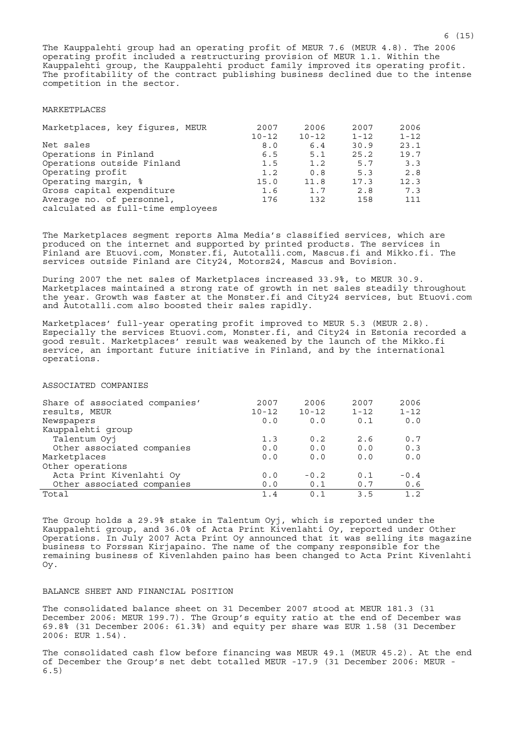The Kauppalehti group had an operating profit of MEUR 7.6 (MEUR 4.8). The 2006 operating profit included a restructuring provision of MEUR 1.1. Within the Kauppalehti group, the Kauppalehti product family improved its operating profit. The profitability of the contract publishing business declined due to the intense competition in the sector.

#### MARKETPLACES

| Marketplaces, key figures, MEUR                                | 2007<br>$10 - 12$ | 2006<br>$10 - 12$ | 2007<br>$1 - 12$ | 2006<br>$1 - 12$ |
|----------------------------------------------------------------|-------------------|-------------------|------------------|------------------|
| Net sales                                                      | 8.0               | 6.4               | 30.9             | 23.1             |
| Operations in Finland                                          | 6.5               | 5.1               | 25.2             | 19.7             |
| Operations outside Finland                                     | 1.5               | 1.2               | 5.7              | 3.3              |
| Operating profit                                               | 1.2               | 0.8               | 5.3              | 2.8              |
| Operating margin, %                                            | 15.0              | 11.8              | 17.3             | 12.3             |
| Gross capital expenditure                                      | 1.6               | 1.7               | 2.8              | 7.3              |
| Average no. of personnel,<br>calculated as full-time employees | 176               | 132               | 158              | 111              |

The Marketplaces segment reports Alma Media's classified services, which are produced on the internet and supported by printed products. The services in Finland are Etuovi.com, Monster.fi, Autotalli.com, Mascus.fi and Mikko.fi. The services outside Finland are City24, Motors24, Mascus and Bovision.

During 2007 the net sales of Marketplaces increased 33.9%, to MEUR 30.9. Marketplaces maintained a strong rate of growth in net sales steadily throughout the year. Growth was faster at the Monster.fi and City24 services, but Etuovi.com and Autotalli.com also boosted their sales rapidly.

Marketplaces' full-year operating profit improved to MEUR 5.3 (MEUR 2.8). Especially the services Etuovi.com, Monster.fi, and City24 in Estonia recorded a good result. Marketplaces' result was weakened by the launch of the Mikko.fi service, an important future initiative in Finland, and by the international operations.

ASSOCIATED COMPANIES

| Share of associated companies'<br>results, MEUR | 2007<br>$10 - 12$ | 2006<br>$10 - 12$ | 2007<br>$1 - 12$ | 2006<br>$1 - 12$ |
|-------------------------------------------------|-------------------|-------------------|------------------|------------------|
| Newspapers                                      | 0.0               | 0.0               | 0.1              | 0.0              |
| Kauppalehti group                               |                   |                   |                  |                  |
| Talentum Oyj                                    | 1.3               | 0.2               | 2.6              | 0.7              |
| Other associated companies                      | 0.0               | 0.0               | 0.0              | 0.3              |
| Marketplaces                                    | 0.0               | 0.0               | 0.0              | 0.0              |
| Other operations                                |                   |                   |                  |                  |
| Acta Print Kivenlahti Oy                        | 0.0               | $-0.2$            | 0.1              | $-0.4$           |
| Other associated companies                      | 0.0               | 0.1               | 0.7              | 0.6              |
| Total                                           | 1.4               | 0 1               | 3.5              | $1 \quad 2$      |

The Group holds a 29.9% stake in Talentum Oyj, which is reported under the Kauppalehti group, and 36.0% of Acta Print Kivenlahti Oy, reported under Other Operations. In July 2007 Acta Print Oy announced that it was selling its magazine business to Forssan Kirjapaino. The name of the company responsible for the remaining business of Kivenlahden paino has been changed to Acta Print Kivenlahti Oy.

## BALANCE SHEET AND FINANCIAL POSITION

The consolidated balance sheet on 31 December 2007 stood at MEUR 181.3 (31 December 2006: MEUR 199.7). The Group's equity ratio at the end of December was 69.8% (31 December 2006: 61.3%) and equity per share was EUR 1.58 (31 December 2006: EUR 1.54).

The consolidated cash flow before financing was MEUR 49.1 (MEUR 45.2). At the end of December the Group's net debt totalled MEUR -17.9 (31 December 2006: MEUR - 6.5)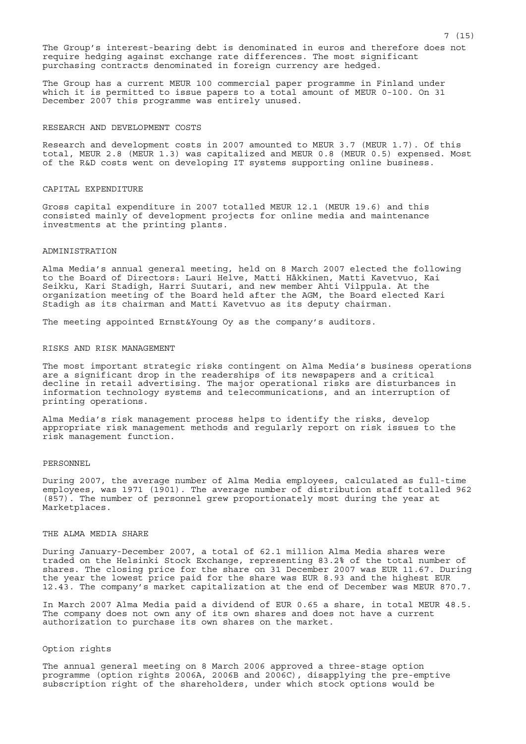The Group's interest-bearing debt is denominated in euros and therefore does not require hedging against exchange rate differences. The most significant purchasing contracts denominated in foreign currency are hedged.

The Group has a current MEUR 100 commercial paper programme in Finland under which it is permitted to issue papers to a total amount of MEUR 0-100. On 31 December 2007 this programme was entirely unused.

#### RESEARCH AND DEVELOPMENT COSTS

Research and development costs in 2007 amounted to MEUR 3.7 (MEUR 1.7). Of this total, MEUR 2.8 (MEUR 1.3) was capitalized and MEUR 0.8 (MEUR 0.5) expensed. Most of the R&D costs went on developing IT systems supporting online business.

## CAPITAL EXPENDITURE

Gross capital expenditure in 2007 totalled MEUR 12.1 (MEUR 19.6) and this consisted mainly of development projects for online media and maintenance investments at the printing plants.

## ADMINISTRATION

Alma Media's annual general meeting, held on 8 March 2007 elected the following to the Board of Directors: Lauri Helve, Matti Häkkinen, Matti Kavetvuo, Kai Seikku, Kari Stadigh, Harri Suutari, and new member Ahti Vilppula. At the organization meeting of the Board held after the AGM, the Board elected Kari Stadigh as its chairman and Matti Kavetvuo as its deputy chairman.

The meeting appointed Ernst&Young Oy as the company's auditors.

### RISKS AND RISK MANAGEMENT

The most important strategic risks contingent on Alma Media's business operations are a significant drop in the readerships of its newspapers and a critical decline in retail advertising. The major operational risks are disturbances in information technology systems and telecommunications, and an interruption of printing operations.

Alma Media's risk management process helps to identify the risks, develop appropriate risk management methods and regularly report on risk issues to the risk management function.

### PERSONNEL

During 2007, the average number of Alma Media employees, calculated as full-time employees, was 1971 (1901). The average number of distribution staff totalled 962 (857). The number of personnel grew proportionately most during the year at Marketplaces.

# THE ALMA MEDIA SHARE

During January-December 2007, a total of 62.1 million Alma Media shares were traded on the Helsinki Stock Exchange, representing 83.2% of the total number of shares. The closing price for the share on 31 December 2007 was EUR 11.67. During the year the lowest price paid for the share was EUR 8.93 and the highest EUR 12.43. The company's market capitalization at the end of December was MEUR 870.7.

In March 2007 Alma Media paid a dividend of EUR 0.65 a share, in total MEUR 48.5. The company does not own any of its own shares and does not have a current authorization to purchase its own shares on the market.

#### Option rights

The annual general meeting on 8 March 2006 approved a three-stage option programme (option rights 2006A, 2006B and 2006C), disapplying the pre-emptive subscription right of the shareholders, under which stock options would be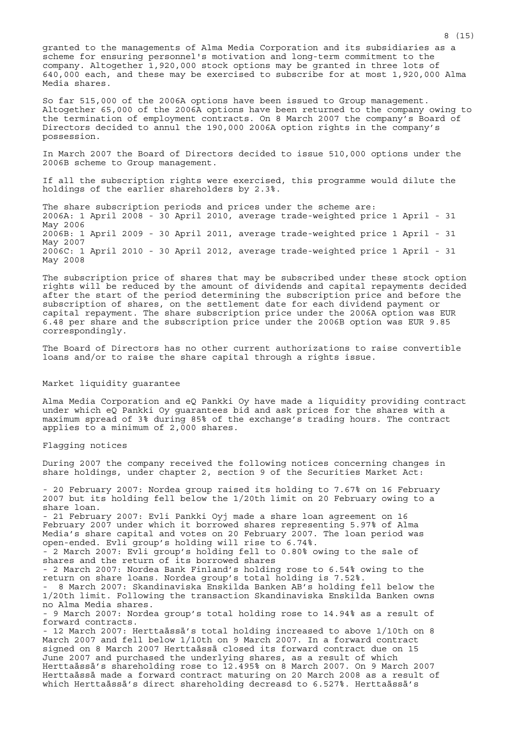granted to the managements of Alma Media Corporation and its subsidiaries as a scheme for ensuring personnel's motivation and long-term commitment to the company. Altogether 1,920,000 stock options may be granted in three lots of 640,000 each, and these may be exercised to subscribe for at most 1,920,000 Alma Media shares.

So far 515,000 of the 2006A options have been issued to Group management. Altogether 65,000 of the 2006A options have been returned to the company owing to the termination of employment contracts. On 8 March 2007 the company's Board of Directors decided to annul the 190,000 2006A option rights in the company's possession.

In March 2007 the Board of Directors decided to issue 510,000 options under the 2006B scheme to Group management.

If all the subscription rights were exercised, this programme would dilute the holdings of the earlier shareholders by 2.3%.

The share subscription periods and prices under the scheme are: 2006A: 1 April 2008 - 30 April 2010, average trade-weighted price 1 April - 31 May 2006 2006B: 1 April 2009 - 30 April 2011, average trade-weighted price 1 April - 31 May 2007 2006C: 1 April 2010 - 30 April 2012, average trade-weighted price 1 April - 31 May 2008

The subscription price of shares that may be subscribed under these stock option rights will be reduced by the amount of dividends and capital repayments decided after the start of the period determining the subscription price and before the subscription of shares, on the settlement date for each dividend payment or capital repayment. The share subscription price under the 2006A option was EUR 6.48 per share and the subscription price under the 2006B option was EUR 9.85 correspondingly.

The Board of Directors has no other current authorizations to raise convertible loans and/or to raise the share capital through a rights issue.

### Market liquidity guarantee

Alma Media Corporation and eQ Pankki Oy have made a liquidity providing contract under which eQ Pankki Oy guarantees bid and ask prices for the shares with a maximum spread of 3% during 85% of the exchange's trading hours. The contract applies to a minimum of 2,000 shares.

#### Flagging notices

During 2007 the company received the following notices concerning changes in share holdings, under chapter 2, section 9 of the Securities Market Act:

- 20 February 2007: Nordea group raised its holding to 7.67% on 16 February 2007 but its holding fell below the 1/20th limit on 20 February owing to a share loan. - 21 February 2007: Evli Pankki Oyj made a share loan agreement on 16 February 2007 under which it borrowed shares representing 5.97% of Alma Media's share capital and votes on 20 February 2007. The loan period was open-ended. Evli group's holding will rise to 6.74%. - 2 March 2007: Evli group's holding fell to 0.80% owing to the sale of shares and the return of its borrowed shares - 2 March 2007: Nordea Bank Finland's holding rose to 6.54% owing to the return on share loans. Nordea group's total holding is 7.52%. - 8 March 2007: Skandinaviska Enskilda Banken AB's holding fell below the 1/20th limit. Following the transaction Skandinaviska Enskilda Banken owns no Alma Media shares. - 9 March 2007: Nordea group's total holding rose to 14.94% as a result of forward contracts. - 12 March 2007: Herttaässä's total holding increased to above 1/10th on 8 March 2007 and fell below 1/10th on 9 March 2007. In a forward contract signed on 8 March 2007 Herttaässä closed its forward contract due on 15 June 2007 and purchased the underlying shares, as a result of which Herttaässä's shareholding rose to 12.495% on 8 March 2007. On 9 March 2007 Herttaässä made a forward contract maturing on 20 March 2008 as a result of which Herttaässä's direct shareholding decreasd to 6.527%. Herttaässä's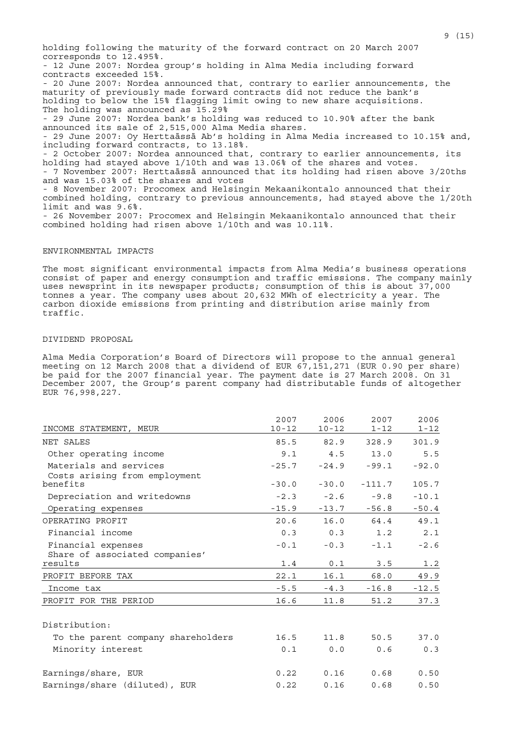holding following the maturity of the forward contract on 20 March 2007 corresponds to 12.495%. - 12 June 2007: Nordea group's holding in Alma Media including forward contracts exceeded 15%. - 20 June 2007: Nordea announced that, contrary to earlier announcements, the maturity of previously made forward contracts did not reduce the bank's holding to below the 15% flagging limit owing to new share acquisitions. The holding was announced as 15.29% - 29 June 2007: Nordea bank's holding was reduced to 10.90% after the bank announced its sale of 2,515,000 Alma Media shares. - 29 June 2007: Oy Herttaässä Ab's holding in Alma Media increased to 10.15% and, including forward contracts, to 13.18%. - 2 October 2007: Nordea announced that, contrary to earlier announcements, its holding had stayed above 1/10th and was 13.06% of the shares and votes. - 7 November 2007: Herttaässä announced that its holding had risen above 3/20ths and was 15.03% of the shares and votes - 8 November 2007: Procomex and Helsingin Mekaanikontalo announced that their combined holding, contrary to previous announcements, had stayed above the 1/20th limit and was 9.6%. - 26 November 2007: Procomex and Helsingin Mekaanikontalo announced that their combined holding had risen above 1/10th and was 10.11%.

### ENVIRONMENTAL IMPACTS

The most significant environmental impacts from Alma Media's business operations consist of paper and energy consumption and traffic emissions. The company mainly uses newsprint in its newspaper products; consumption of this is about 37,000 tonnes a year. The company uses about 20,632 MWh of electricity a year. The carbon dioxide emissions from printing and distribution arise mainly from traffic.

## DIVIDEND PROPOSAL

Alma Media Corporation's Board of Directors will propose to the annual general meeting on 12 March 2008 that a dividend of EUR 67,151,271 (EUR 0.90 per share) be paid for the 2007 financial year. The payment date is 27 March 2008. On 31 December 2007, the Group's parent company had distributable funds of altogether EUR 76,998,227.

|                                                         | 2007      | 2006      | 2007     | 2006     |
|---------------------------------------------------------|-----------|-----------|----------|----------|
| INCOME STATEMENT, MEUR                                  | $10 - 12$ | $10 - 12$ | $1 - 12$ | $1 - 12$ |
| NET SALES                                               | 85.5      | 82.9      | 328.9    | 301.9    |
| Other operating income                                  | 9.1       | 4.5       | 13.0     | 5.5      |
| Materials and services<br>Costs arising from employment | $-25.7$   | $-24.9$   | $-99.1$  | $-92.0$  |
| benefits                                                | $-30.0$   | $-30.0$   | $-111.7$ | 105.7    |
| Depreciation and writedowns                             | $-2.3$    | $-2.6$    | $-9.8$   | $-10.1$  |
| Operating expenses                                      | $-15.9$   | $-13.7$   | $-56.8$  | $-50.4$  |
| OPERATING PROFIT                                        | 20.6      | 16.0      | 64.4     | 49.1     |
| Financial income                                        | 0.3       | 0.3       | 1.2      | 2.1      |
| Financial expenses                                      | $-0.1$    | $-0.3$    | $-1.1$   | $-2.6$   |
| Share of associated companies'<br>results               | 1.4       | 0.1       | 3.5      | 1.2      |
| PROFIT BEFORE TAX                                       | 22.1      | 16.1      | 68.0     | 49.9     |
| Income tax                                              | $-5.5$    | $-4.3$    | $-16.8$  | $-12.5$  |
| PROFIT FOR THE PERIOD                                   | 16.6      | 11.8      | 51.2     | 37.3     |
|                                                         |           |           |          |          |
| Distribution:                                           |           |           |          |          |
| To the parent company shareholders                      | 16.5      | 11.8      | 50.5     | 37.0     |
| Minority interest                                       | 0.1       | 0.0       | 0.6      | 0.3      |
| Earnings/share, EUR                                     | 0.22      | 0.16      | 0.68     | 0.50     |
| Earnings/share (diluted), EUR                           | 0.22      | 0.16      | 0.68     | 0.50     |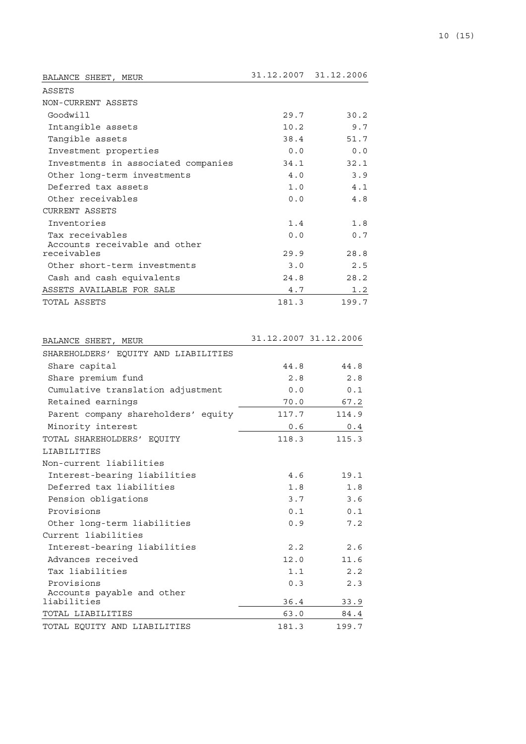| BALANCE SHEET,<br>MEUR              |       | 31.12.2007 31.12.2006 |
|-------------------------------------|-------|-----------------------|
| ASSETS                              |       |                       |
| NON-CURRENT ASSETS                  |       |                       |
| Goodwill                            | 29.7  | 30.2                  |
| Intangible assets                   | 10.2  | 9.7                   |
| Tangible assets                     | 38.4  | 51.7                  |
| Investment properties               | 0.0   | 0.0                   |
| Investments in associated companies | 34.1  | 32.1                  |
| Other long-term investments         | 4.0   | 3.9                   |
| Deferred tax assets                 | 1.0   | 4.1                   |
| Other receivables                   | 0.0   | 4.8                   |
| <b>CURRENT ASSETS</b>               |       |                       |
| Inventories                         | 1.4   | 1.8                   |
| Tax receivables                     | 0.0   | 0.7                   |
| Accounts receivable and other       |       |                       |
| receivables                         | 29.9  | 28.8                  |
| Other short-term investments        | 3.0   | 2.5                   |
| Cash and cash equivalents           | 24.8  | 28.2                  |
| ASSETS AVAILABLE FOR SALE           | 4.7   | 1.2                   |
| TOTAL ASSETS                        | 181.3 | 199.7                 |

| BALANCE SHEET, MEUR                       |       | 31.12.2007 31.12.2006 |
|-------------------------------------------|-------|-----------------------|
| SHAREHOLDERS' EOUITY AND LIABILITIES      |       |                       |
| Share capital                             | 44.8  | 44.8                  |
| Share premium fund                        | 2.8   | 2.8                   |
| Cumulative translation adjustment         | 0.0   | 0.1                   |
| Retained earnings                         | 70.0  | 67.2                  |
| Parent company shareholders' equity       | 117.7 | 114.9                 |
| Minority interest                         | 0.6   | 0.4                   |
| TOTAL SHAREHOLDERS' EOUITY                | 118.3 | 115.3                 |
| LIABILITIES                               |       |                       |
| Non-current liabilities                   |       |                       |
| Interest-bearing liabilities              | 4.6   | 19.1                  |
| Deferred tax liabilities                  | 1.8   | 1.8                   |
| Pension obligations                       | 3.7   | 3.6                   |
| Provisions                                | 0.1   | 0.1                   |
| Other long-term liabilities               | 0.9   | 7.2                   |
| Current liabilities                       |       |                       |
| Interest-bearing liabilities              | 2.2   | 2.6                   |
| Advances received                         | 12.0  | 11.6                  |
| Tax liabilities                           | 1.1   | 2.2                   |
| Provisions                                | 0.3   | 2.3                   |
| Accounts payable and other<br>liabilities |       |                       |
|                                           | 36.4  | 33.9                  |
| TOTAL LIABILITIES                         | 63.0  | 84.4                  |
| TOTAL EQUITY AND LIABILITIES              | 181.3 | 199.7                 |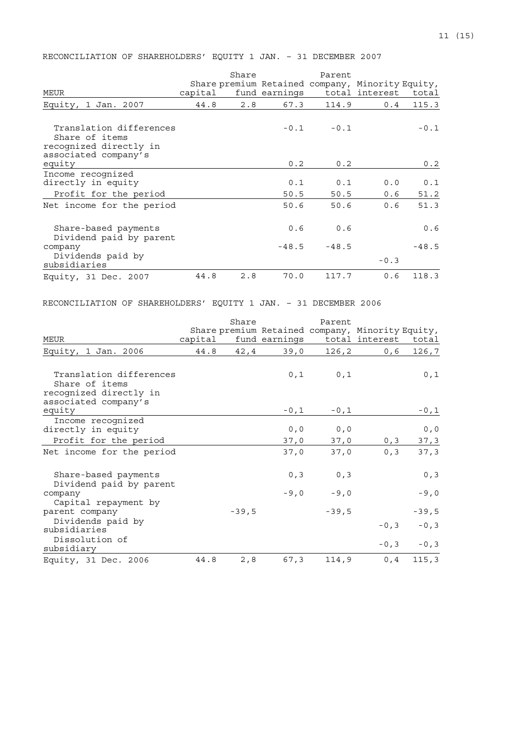RECONCILIATION OF SHAREHOLDERS' EQUITY 1 JAN. – 31 DECEMBER 2007

|                                                                                             |         | Share |                | Parent         | Share premium Retained company, Minority Equity, |                |
|---------------------------------------------------------------------------------------------|---------|-------|----------------|----------------|--------------------------------------------------|----------------|
| MEUR                                                                                        | capital |       | fund earnings  |                | total interest                                   | total          |
| Equity, 1 Jan. 2007                                                                         | 44.8    | 2.8   | 67.3           | 114.9          | 0.4                                              | 115.3          |
| Translation differences<br>Share of items<br>recognized directly in<br>associated company's |         |       |                | $-0.1 - 0.1$   |                                                  | $-0.1$         |
| equity                                                                                      |         |       | 0.2            | 0.2            |                                                  | 0.2            |
| Income recognized<br>directly in equity<br>Profit for the period                            |         |       | 0.1<br>50.5    | 0.1<br>50.5    | 0.0<br>0.6                                       | 0.1<br>51.2    |
| Net income for the period                                                                   |         |       | 50.6           | 50.6           | 0.6                                              | 51.3           |
| Share-based payments<br>Dividend paid by parent<br>company                                  |         |       | 0.6<br>$-48.5$ | 0.6<br>$-48.5$ |                                                  | 0.6<br>$-48.5$ |
| Dividends paid by<br>subsidiaries                                                           |         |       |                |                | $-0.3$                                           |                |
| Equity, 31 Dec. 2007                                                                        | 44.8    | 2.8   | 70.0           | 117.7          | 0.6                                              | 118.3          |

# RECONCILIATION OF SHAREHOLDERS' EQUITY 1 JAN. – 31 DECEMBER 2006

|                                                                                             |         | Share   |                | Parent         |                                                  |                |
|---------------------------------------------------------------------------------------------|---------|---------|----------------|----------------|--------------------------------------------------|----------------|
|                                                                                             |         |         |                |                | Share premium Retained company, Minority Equity, |                |
| <b>MEUR</b>                                                                                 | capital |         |                |                | fund earnings total interest total               |                |
| Equity, 1 Jan. 2006                                                                         | 44.8    | 42,4    | 39,0           | 126,2          | 0,6                                              | 126,7          |
| Translation differences<br>Share of items<br>recognized directly in<br>associated company's |         |         | 0,1            | 0,1            |                                                  | 0,1            |
| equity                                                                                      |         |         | $-0$ , $1$     | $-0,1$         |                                                  | $-0, 1$        |
| Income recognized<br>directly in equity<br>Profit for the period                            |         |         | 0, 0<br>37,0   | 0, 0<br>37,0   | 0, 3                                             | 0, 0<br>37, 3  |
| Net income for the period                                                                   |         |         | 37,0           | 37,0           | 0, 3                                             | 37, 3          |
| Share-based payments<br>Dividend paid by parent<br>company                                  |         |         | 0, 3<br>$-9,0$ | 0, 3<br>$-9,0$ |                                                  | 0, 3<br>$-9,0$ |
| Capital repayment by<br>parent company<br>Dividends paid by                                 |         | $-39,5$ |                | $-39,5$        |                                                  | $-39,5$        |
| subsidiaries                                                                                |         |         |                |                | $-0, 3$                                          | $-0, 3$        |
| Dissolution of<br>subsidiary                                                                |         |         |                |                | $-0, 3$                                          | $-0, 3$        |
| Equity, 31 Dec. 2006                                                                        | 44.8    | 2, 8    | 67,3           | 114,9          | 0, 4                                             | 115, 3         |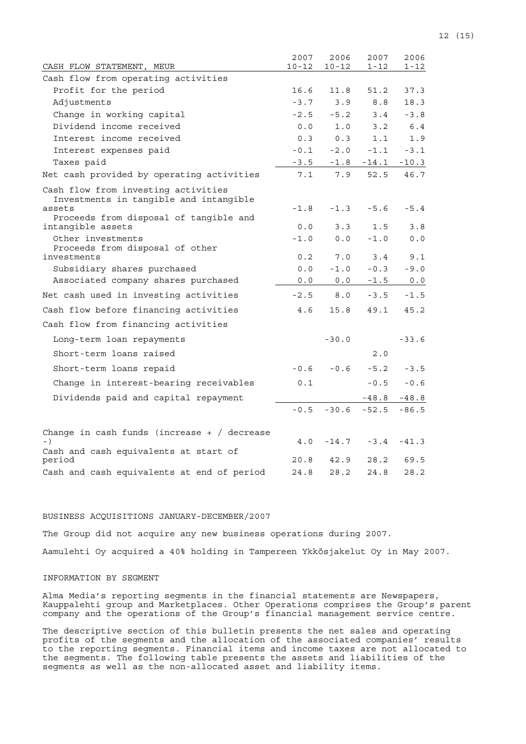| CASH FLOW STATEMENT, MEUR                                                               | 2007<br>$10 - 12$ | 2006<br>$10 - 12$ | 2007<br>$1 - 12$ | 2006<br>1-12 |
|-----------------------------------------------------------------------------------------|-------------------|-------------------|------------------|--------------|
| Cash flow from operating activities                                                     |                   |                   |                  |              |
| Profit for the period                                                                   | 16.6              | 11.8              | 51.2             | 37.3         |
| Adjustments                                                                             | $-3.7$            | 3.9               | 8.8              | 18.3         |
| Change in working capital                                                               | $-2.5$            | $-5.2$            | 3.4              | $-3.8$       |
| Dividend income received                                                                | 0.0               | 1.0               | 3.2              | 6.4          |
| Interest income received                                                                | 0.3               | 0.3               | 1.1              | 1.9          |
| Interest expenses paid                                                                  | $-0.1$            | $-2.0$            | $-1.1$           | $-3.1$       |
| Taxes paid                                                                              | $-3.5$            | $-1.8$            | $-14.1$          | $-10.3$      |
| Net cash provided by operating activities                                               | 7.1               | 7.9               | 52.5             | 46.7         |
| Cash flow from investing activities<br>Investments in tangible and intangible<br>assets | $-1.8$            | $-1.3$            | $-5.6$           | $-5.4$       |
| Proceeds from disposal of tangible and                                                  |                   |                   |                  |              |
| intangible assets                                                                       | 0.0               | 3.3               | 1.5              | 3.8          |
| Other investments                                                                       | $-1.0$            | 0.0               | $-1.0$           | 0.0          |
| Proceeds from disposal of other<br>investments                                          | 0.2               | 7.0               | 3.4              | 9.1          |
| Subsidiary shares purchased                                                             | 0.0               | $-1.0$            | $-0.3$           | $-9.0$       |
| Associated company shares purchased                                                     | 0.0               | 0.0               | $-1.5$           | 0.0          |
| Net cash used in investing activities                                                   | $-2.5$            | 8.0               | $-3.5$           | $-1.5$       |
| Cash flow before financing activities                                                   | 4.6               | 15.8              | 49.1             | 45.2         |
| Cash flow from financing activities                                                     |                   |                   |                  |              |
| Long-term loan repayments                                                               |                   | $-30.0$           |                  | $-33.6$      |
| Short-term loans raised                                                                 |                   |                   | 2.0              |              |
| Short-term loans repaid                                                                 | $-0.6$            | $-0.6$            | $-5.2$           | $-3.5$       |
| Change in interest-bearing receivables                                                  | 0.1               |                   | $-0.5$           | $-0.6$       |
| Dividends paid and capital repayment                                                    |                   |                   | $-48.8$          | $-48.8$      |
|                                                                                         | $-0.5$            | $-30.6$           | $-52.5$          | $-86.5$      |
| Change in cash funds (increase $+$ / decrease<br>$-$ )                                  | 4.0               | $-14.7$           | $-3.4$           | $-41.3$      |
| Cash and cash equivalents at start of<br>period                                         | 20.8              | 42.9              | 28.2             | 69.5         |
| Cash and cash equivalents at end of period                                              | 24.8              | 28.2              | 24.8             | 28.2         |

## BUSINESS ACQUISITIONS JANUARY-DECEMBER/2007

The Group did not acquire any new business operations during 2007. Aamulehti Oy acquired a 40% holding in Tampereen Ykkösjakelut Oy in May 2007.

## INFORMATION BY SEGMENT

Alma Media's reporting segments in the financial statements are Newspapers, Kauppalehti group and Marketplaces. Other Operations comprises the Group's parent company and the operations of the Group's financial management service centre.

The descriptive section of this bulletin presents the net sales and operating profits of the segments and the allocation of the associated companies' results to the reporting segments. Financial items and income taxes are not allocated to the segments. The following table presents the assets and liabilities of the segments as well as the non-allocated asset and liability items.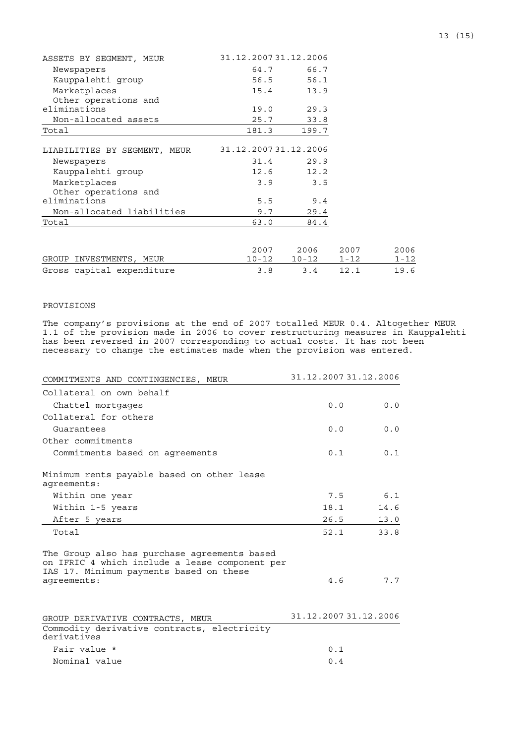| ASSETS BY SEGMENT, MEUR      | 31.12.200731.12.2006 |           |          |          |
|------------------------------|----------------------|-----------|----------|----------|
| Newspapers                   | 64.7                 | 66.7      |          |          |
| Kauppalehti qroup            | 56.5                 | 56.1      |          |          |
| Marketplaces                 | 15.4                 | 13.9      |          |          |
| Other operations and         |                      |           |          |          |
| eliminations                 | 19.0                 | 29.3      |          |          |
| Non-allocated assets         | 25.7                 | 33.8      |          |          |
| Total                        | 181.3                | 199.7     |          |          |
|                              |                      |           |          |          |
| LIABILITIES BY SEGMENT, MEUR | 31.12.200731.12.2006 |           |          |          |
| Newspapers                   | 31.4                 | 29.9      |          |          |
| Kauppalehti qroup            | 12.6                 | 12.2      |          |          |
| Marketplaces                 | 3.9                  | 3.5       |          |          |
| Other operations and         |                      |           |          |          |
| eliminations                 | 5.5                  | 9.4       |          |          |
| Non-allocated liabilities    | 9.7                  | 29.4      |          |          |
| Total                        | 63.0                 | 84.4      |          |          |
|                              |                      |           |          |          |
|                              | 2007                 | 2006      | 2007     | 2006     |
| GROUP INVESTMENTS, MEUR      | $10 - 12$            | $10 - 12$ | $1 - 12$ | $1 - 12$ |
| Gross capital expenditure    | 3.8                  | 3.4       | 12.1     | 19.6     |

# PROVISIONS

The company's provisions at the end of 2007 totalled MEUR 0.4. Altogether MEUR 1.1 of the provision made in 2006 to cover restructuring measures in Kauppalehti has been reversed in 2007 corresponding to actual costs. It has not been necessary to change the estimates made when the provision was entered.

| COMMITMENTS AND CONTINGENCIES, MEUR                                                                                                                      | 31.12.2007 31.12.2006 |  |  |  |
|----------------------------------------------------------------------------------------------------------------------------------------------------------|-----------------------|--|--|--|
| Collateral on own behalf                                                                                                                                 |                       |  |  |  |
| Chattel mortgages                                                                                                                                        | 0.0<br>0.0            |  |  |  |
| Collateral for others                                                                                                                                    |                       |  |  |  |
| Guarantees                                                                                                                                               | 0.0<br>0.0            |  |  |  |
| Other commitments                                                                                                                                        |                       |  |  |  |
| Commitments based on agreements                                                                                                                          | 0.1<br>0.1            |  |  |  |
| Minimum rents payable based on other lease<br>aqreements:                                                                                                |                       |  |  |  |
| Within one year                                                                                                                                          | 6.1<br>7.5            |  |  |  |
| Within 1-5 years                                                                                                                                         | 18.1<br>14.6          |  |  |  |
| After 5 years                                                                                                                                            | 26.5<br>13.0          |  |  |  |
| Total                                                                                                                                                    | 52.1<br>33.8          |  |  |  |
| The Group also has purchase agreements based<br>on IFRIC 4 which include a lease component per<br>IAS 17. Minimum payments based on these<br>aqreements: | 7.7<br>4.6            |  |  |  |
| GROUP DERIVATIVE CONTRACTS, MEUR<br>Commodity derivative contracts, electricity<br>derivatives                                                           | 31.12.2007 31.12.2006 |  |  |  |
| Fair value *                                                                                                                                             | 0.1                   |  |  |  |
| Nominal value                                                                                                                                            | 0.4                   |  |  |  |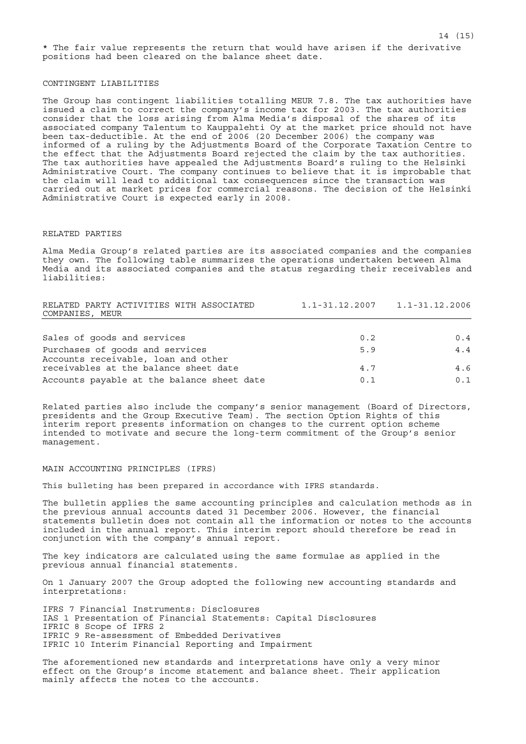## CONTINGENT LIABILITIES

The Group has contingent liabilities totalling MEUR 7.8. The tax authorities have issued a claim to correct the company's income tax for 2003. The tax authorities consider that the loss arising from Alma Media's disposal of the shares of its associated company Talentum to Kauppalehti Oy at the market price should not have been tax-deductible. At the end of 2006 (20 December 2006) the company was informed of a ruling by the Adjustments Board of the Corporate Taxation Centre to the effect that the Adjustments Board rejected the claim by the tax authorities. The tax authorities have appealed the Adjustments Board's ruling to the Helsinki Administrative Court. The company continues to believe that it is improbable that the claim will lead to additional tax consequences since the transaction was carried out at market prices for commercial reasons. The decision of the Helsinki Administrative Court is expected early in 2008.

#### RELATED PARTIES

Alma Media Group's related parties are its associated companies and the companies they own. The following table summarizes the operations undertaken between Alma Media and its associated companies and the status regarding their receivables and liabilities:

| RELATED PARTY ACTIVITIES WITH ASSOCIATED   |     | $1.1 - 31.12.2007$ $1.1 - 31.12.2006$ |
|--------------------------------------------|-----|---------------------------------------|
| COMPANIES, MEUR                            |     |                                       |
|                                            |     |                                       |
| Sales of goods and services                | 0.2 | 0.4                                   |
| Purchases of goods and services            | 5.9 | 4.4                                   |
| Accounts receivable, loan and other        |     |                                       |
| receivables at the balance sheet date      | 4.7 | 4.6                                   |
| Accounts payable at the balance sheet date | 0.1 | 0.1                                   |

Related parties also include the company's senior management (Board of Directors, presidents and the Group Executive Team). The section Option Rights of this interim report presents information on changes to the current option scheme intended to motivate and secure the long-term commitment of the Group's senior management.

## MAIN ACCOUNTING PRINCIPLES (IFRS)

This bulleting has been prepared in accordance with IFRS standards.

The bulletin applies the same accounting principles and calculation methods as in the previous annual accounts dated 31 December 2006. However, the financial statements bulletin does not contain all the information or notes to the accounts included in the annual report. This interim report should therefore be read in conjunction with the company's annual report.

The key indicators are calculated using the same formulae as applied in the previous annual financial statements.

On 1 January 2007 the Group adopted the following new accounting standards and interpretations:

IFRS 7 Financial Instruments: Disclosures IAS 1 Presentation of Financial Statements: Capital Disclosures IFRIC 8 Scope of IFRS 2 IFRIC 9 Re-assessment of Embedded Derivatives IFRIC 10 Interim Financial Reporting and Impairment

The aforementioned new standards and interpretations have only a very minor effect on the Group's income statement and balance sheet. Their application mainly affects the notes to the accounts.